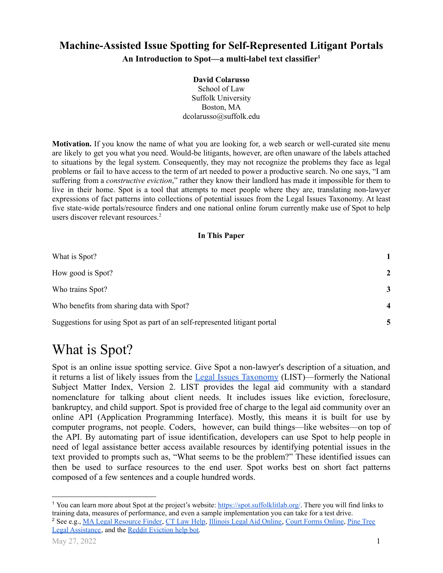### **Machine-Assisted Issue Spotting for Self-Represented Litigant Portals An Introduction to Spot—a multi-label text classifier<sup>1</sup>**

#### **David Colarusso** School of Law Suffolk University Boston, MA dcolarusso@suffolk.edu

**Motivation.** If you know the name of what you are looking for, a web search or well-curated site menu are likely to get you what you need. Would-be litigants, however, are often unaware of the labels attached to situations by the legal system. Consequently, they may not recognize the problems they face as legal problems or fail to have access to the term of art needed to power a productive search. No one says, "I am suffering from a *constructive eviction*," rather they know their landlord has made it impossible for them to live in their home. Spot is a tool that attempts to meet people where they are, translating non-lawyer expressions of fact patterns into collections of potential issues from the Legal Issues Taxonomy. At least five state-wide portals/resource finders and one national online forum currently make use of Spot to help users discover relevant resources. 2

#### **In This Paper**

| What is Spot?                                                             |                  |
|---------------------------------------------------------------------------|------------------|
| How good is Spot?                                                         | $\mathbf{2}$     |
| Who trains Spot?                                                          | 3                |
| Who benefits from sharing data with Spot?                                 | $\boldsymbol{4}$ |
| Suggestions for using Spot as part of an self-represented litigant portal |                  |

# <span id="page-0-0"></span>What is Spot?

Spot is an online issue spotting service. Give Spot a non-lawyer's description of a situation, and it returns a list of likely issues from the Legal Issues [Taxonomy](https://taxonomy.legal/) (LIST)—formerly the National Subject Matter Index, Version 2. LIST provides the legal aid community with a standard nomenclature for talking about client needs. It includes issues like eviction, foreclosure, bankruptcy, and child support. Spot is provided free of charge to the legal aid community over an online API (Application Programming Interface). Mostly, this means it is built for use by computer programs, not people. Coders, however, can build things—like websites—on top of the API. By automating part of issue identification, developers can use Spot to help people in need of legal assistance better access available resources by identifying potential issues in the text provided to prompts such as, "What seems to be the problem?" These identified issues can then be used to surface resources to the end user. Spot works best on short fact patterns composed of a few sentences and a couple hundred words.

Legal [Assistance](https://ptla.org/find-legal-help), and the Reddit [Eviction](https://www.reddit.com/r/legaladvice/comments/jxbny2/ai_comes_to_la_ama_and_discussion_about_a_new_ai/) help bot.

<sup>&</sup>lt;sup>2</sup> See e.g., MA Legal [Resource](https://masslrf.org/en/triage/info) Finder, CT Law [Help](https://ctlawhelp.org/en/legal-help), [Illinois](https://www.illinoislegalaid.org/get-legal-help) Legal Aid [Online](https://courtformsonline.org/), Court Forms Online, Pine [Tree](https://ptla.org/find-legal-help) <sup>1</sup> You can learn more about Spot at the project's website: <https://spot.suffolklitlab.org/>. There you will find links to training data, measures of performance, and even a sample implementation you can take for a test drive.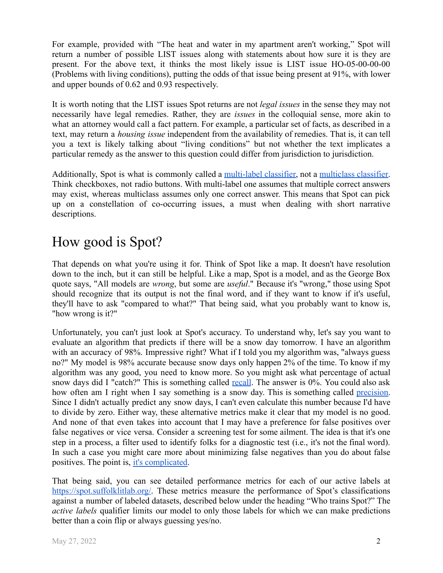For example, provided with "The heat and water in my apartment aren't working," Spot will return a number of possible LIST issues along with statements about how sure it is they are present. For the above text, it thinks the most likely issue is LIST issue HO-05-00-00-00 (Problems with living conditions), putting the odds of that issue being present at 91%, with lower and upper bounds of 0.62 and 0.93 respectively.

It is worth noting that the LIST issues Spot returns are not *legal issues* in the sense they may not necessarily have legal remedies. Rather, they are *issues* in the colloquial sense, more akin to what an attorney would call a fact pattern. For example, a particular set of facts, as described in a text, may return a *housing issue* independent from the availability of remedies. That is, it can tell you a text is likely talking about "living conditions" but not whether the text implicates a particular remedy as the answer to this question could differ from jurisdiction to jurisdiction.

Additionally, Spot is what is commonly called a [multi-label](https://en.wikipedia.org/wiki/Multi-label_classification) classifier, not a [multiclass](https://en.wikipedia.org/wiki/Multiclass_classification) classifier. Think checkboxes, not radio buttons. With multi-label one assumes that multiple correct answers may exist, whereas multiclass assumes only one correct answer. This means that Spot can pick up on a constellation of co-occurring issues, a must when dealing with short narrative descriptions.

## <span id="page-1-0"></span>How good is Spot?

That depends on what you're using it for. Think of Spot like a map. It doesn't have resolution down to the inch, but it can still be helpful. Like a map, Spot is a model, and as the George Box quote says, "All models are *wrong*, but some are *useful*." Because it's "wrong," those using Spot should recognize that its output is not the final word, and if they want to know if it's useful, they'll have to ask "compared to what?" That being said, what you probably want to know is, "how wrong is it?"

Unfortunately, you can't just look at Spot's accuracy. To understand why, let's say you want to evaluate an algorithm that predicts if there will be a snow day tomorrow. I have an algorithm with an accuracy of 98%. Impressive right? What if I told you my algorithm was, "always guess" no?" My model is 98% accurate because snow days only happen 2% of the time. To know if my algorithm was any good, you need to know more. So you might ask what percentage of actual snow days did I "catch?" This is something called [recall](https://en.wikipedia.org/wiki/Precision_and_recall#Recall). The answer is 0%. You could also ask how often am I right when I say something is a snow day. This is something called [precision.](https://en.wikipedia.org/wiki/Precision_and_recall#Precision) Since I didn't actually predict any snow days, I can't even calculate this number because I'd have to divide by zero. Either way, these alternative metrics make it clear that my model is no good. And none of that even takes into account that I may have a preference for false positives over false negatives or vice versa. Consider a screening test for some ailment. The idea is that it's one step in a process, a filter used to identify folks for a diagnostic test (i.e., it's not the final word). In such a case you might care more about minimizing false negatives than you do about false positives. The point is, [it's complicated](https://www.codingthelaw.org/Fall_2020/level/4/#intro_vid).

That being said, you can see detailed performance metrics for each of our active labels at [https://spot.suffolklitlab.org/.](https://spot.suffolklitlab.org/) These metrics measure the performance of Spot's classifications against a number of labeled datasets, described below under the heading "Who trains Spot?" The *active labels* qualifier limits our model to only those labels for which we can make predictions better than a coin flip or always guessing yes/no.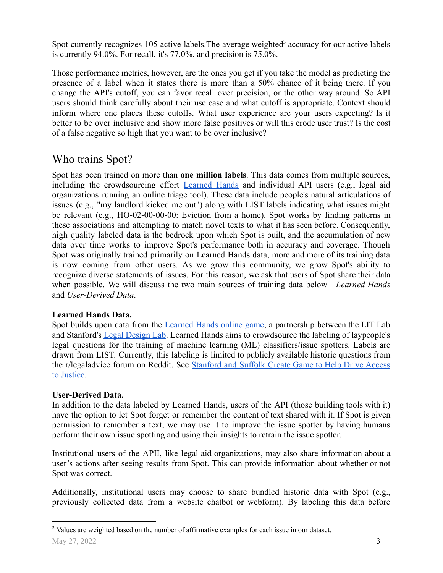Spot currently recognizes 105 active labels. The average weighted<sup>3</sup> accuracy for our active labels is currently 94.0%. For recall, it's 77.0%, and precision is 75.0%.

Those performance metrics, however, are the ones you get if you take the model as predicting the presence of a label when it states there is more than a 50% chance of it being there. If you change the API's cutoff, you can favor recall over precision, or the other way around. So API users should think carefully about their use case and what cutoff is appropriate. Context should inform where one places these cutoffs. What user experience are your users expecting? Is it better to be over inclusive and show more false positives or will this erode user trust? Is the cost of a false negative so high that you want to be over inclusive?

### <span id="page-2-0"></span>Who trains Spot?

Spot has been trained on more than **one million labels**. This data comes from multiple sources, including the crowdsourcing effort [Learned](https://learnedhands.law.stanford.edu/) Hands and individual API users (e.g., legal aid organizations running an online triage tool). These data include people's natural articulations of issues (e.g., "my landlord kicked me out") along with LIST labels indicating what issues might be relevant (e.g., HO-02-00-00-00: Eviction from a home). Spot works by finding patterns in these associations and attempting to match novel texts to what it has seen before. Consequently, high quality labeled data is the bedrock upon which Spot is built, and the accumulation of new data over time works to improve Spot's performance both in accuracy and coverage. Though Spot was originally trained primarily on Learned Hands data, more and more of its training data is now coming from other users. As we grow this community, we grow Spot's ability to recognize diverse statements of issues. For this reason, we ask that users of Spot share their data when possible. We will discuss the two main sources of training data below—*Learned Hands* and *User-Derived Data*.

### **Learned Hands Data.**

Spot builds upon data from the [Learned](https://learnedhands.law.stanford.edu/) Hands online game, a partnership between the LIT Lab and Stanford's Legal [Design](https://law.stanford.edu/organizations/pages/legal-design-lab/) Lab. Learned Hands aims to crowdsource the labeling of laypeople's legal questions for the training of machine learning (ML) classifiers/issue spotters. Labels are drawn from LIST. Currently, this labeling is limited to publicly available historic questions from the r/legaladvice forum on Reddit. See [Stanford](https://www.lawsitesblog.com/2018/10/stanford-suffolk-create-game-help-drive-access-justice.html) and Suffolk Create Game to Help Drive Access [to Justice.](https://www.lawsitesblog.com/2018/10/stanford-suffolk-create-game-help-drive-access-justice.html)

#### **User-Derived Data.**

In addition to the data labeled by Learned Hands, users of the API (those building tools with it) have the option to let Spot forget or remember the content of text shared with it. If Spot is given permission to remember a text, we may use it to improve the issue spotter by having humans perform their own issue spotting and using their insights to retrain the issue spotter.

Institutional users of the APII, like legal aid organizations, may also share information about a user's actions after seeing results from Spot. This can provide information about whether or not Spot was correct.

Additionally, institutional users may choose to share bundled historic data with Spot (e.g., previously collected data from a website chatbot or webform). By labeling this data before

<sup>3</sup> Values are weighted based on the number of affirmative examples for each issue in our dataset.  $\text{May } 27, 2022$  3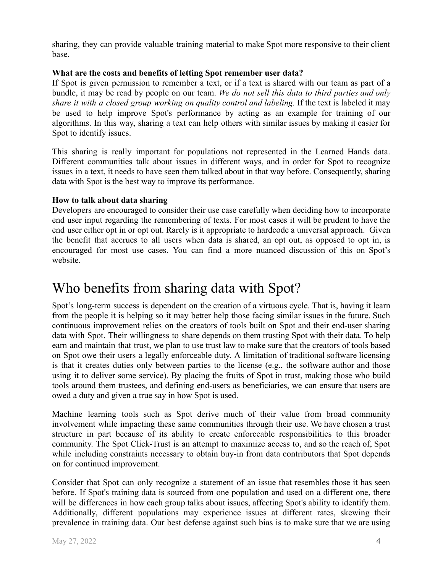sharing, they can provide valuable training material to make Spot more responsive to their client base.

#### **What are the costs and benefits of letting Spot remember user data?**

If Spot is given permission to remember a text, or if a text is shared with our team as part of a bundle, it may be read by people on our team. *We do not sell this data to third parties and only share it with a closed group working on quality control and labeling.* If the text is labeled it may be used to help improve Spot's performance by acting as an example for training of our algorithms. In this way, sharing a text can help others with similar issues by making it easier for Spot to identify issues.

This sharing is really important for populations not represented in the Learned Hands data. Different communities talk about issues in different ways, and in order for Spot to recognize issues in a text, it needs to have seen them talked about in that way before. Consequently, sharing data with Spot is the best way to improve its performance.

#### **How to talk about data sharing**

Developers are encouraged to consider their use case carefully when deciding how to incorporate end user input regarding the remembering of texts. For most cases it will be prudent to have the end user either opt in or opt out. Rarely is it appropriate to hardcode a universal approach. Given the benefit that accrues to all users when data is shared, an opt out, as opposed to opt in, is encouraged for most use cases. You can find a more nuanced discussion of this on Spot's website.

### <span id="page-3-0"></span>Who benefits from sharing data with Spot?

Spot's long-term success is dependent on the creation of a virtuous cycle. That is, having it learn from the people it is helping so it may better help those facing similar issues in the future. Such continuous improvement relies on the creators of tools built on Spot and their end-user sharing data with Spot. Their willingness to share depends on them trusting Spot with their data. To help earn and maintain that trust, we plan to use trust law to make sure that the creators of tools based on Spot owe their users a legally enforceable duty. A limitation of traditional software licensing is that it creates duties only between parties to the license (e.g., the software author and those using it to deliver some service). By placing the fruits of Spot in trust, making those who build tools around them trustees, and defining end-users as beneficiaries, we can ensure that users are owed a duty and given a true say in how Spot is used.

Machine learning tools such as Spot derive much of their value from broad community involvement while impacting these same communities through their use. We have chosen a trust structure in part because of its ability to create enforceable responsibilities to this broader community. The Spot Click-Trust is an attempt to maximize access to, and so the reach of, Spot while including constraints necessary to obtain buy-in from data contributors that Spot depends on for continued improvement.

Consider that Spot can only recognize a statement of an issue that resembles those it has seen before. If Spot's training data is sourced from one population and used on a different one, there will be differences in how each group talks about issues, affecting Spot's ability to identify them. Additionally, different populations may experience issues at different rates, skewing their prevalence in training data. Our best defense against such bias is to make sure that we are using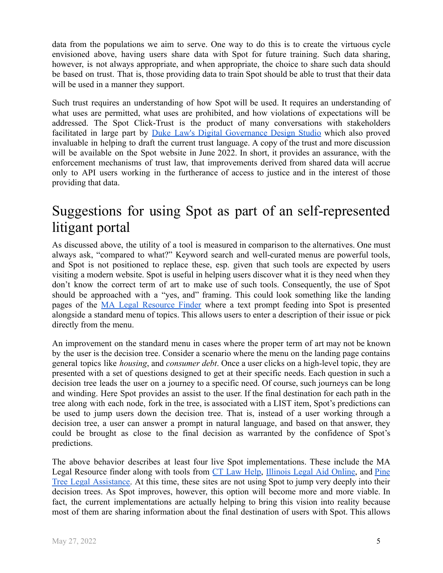data from the populations we aim to serve. One way to do this is to create the virtuous cycle envisioned above, having users share data with Spot for future training. Such data sharing, however, is not always appropriate, and when appropriate, the choice to share such data should be based on trust. That is, those providing data to train Spot should be able to trust that their data will be used in a manner they support.

Such trust requires an understanding of how Spot will be used. It requires an understanding of what uses are permitted, what uses are prohibited, and how violations of expectations will be addressed. The Spot Click-Trust is the product of many conversations with stakeholders facilitated in large part by Duke Law's Digital [Governance](https://digitalgovernance.studio/) Design Studio which also proved invaluable in helping to draft the current trust language. A copy of the trust and more discussion will be available on the Spot website in June 2022. In short, it provides an assurance, with the enforcement mechanisms of trust law, that improvements derived from shared data will accrue only to API users working in the furtherance of access to justice and in the interest of those providing that data.

## <span id="page-4-0"></span>Suggestions for using Spot as part of an self-represented litigant portal

As discussed above, the utility of a tool is measured in comparison to the alternatives. One must always ask, "compared to what?" Keyword search and well-curated menus are powerful tools, and Spot is not positioned to replace these, esp. given that such tools are expected by users visiting a modern website. Spot is useful in helping users discover what it is they need when they don't know the correct term of art to make use of such tools. Consequently, the use of Spot should be approached with a "yes, and" framing. This could look something like the landing pages of the MA Legal [Resource](https://masslrf.org/en/triage/info) Finder where a text prompt feeding into Spot is presented alongside a standard menu of topics. This allows users to enter a description of their issue or pick directly from the menu.

An improvement on the standard menu in cases where the proper term of art may not be known by the user is the decision tree. Consider a scenario where the menu on the landing page contains general topics like *housing*, and *consumer debt*. Once a user clicks on a high-level topic, they are presented with a set of questions designed to get at their specific needs. Each question in such a decision tree leads the user on a journey to a specific need. Of course, such journeys can be long and winding. Here Spot provides an assist to the user. If the final destination for each path in the tree along with each node, fork in the tree, is associated with a LIST item, Spot's predictions can be used to jump users down the decision tree. That is, instead of a user working through a decision tree, a user can answer a prompt in natural language, and based on that answer, they could be brought as close to the final decision as warranted by the confidence of Spot's predictions.

The above behavior describes at least four live Spot implementations. These include the MA Legal Resource finder along with tools from CT Law [Help](https://ctlawhelp.org/en/legal-help), [Illinois](https://www.illinoislegalaid.org/get-legal-help) Legal Aid Online, and [Pine](https://ptla.org/find-legal-help) Tree Legal [Assistance.](https://ptla.org/find-legal-help) At this time, these sites are not using Spot to jump very deeply into their decision trees. As Spot improves, however, this option will become more and more viable. In fact, the current implementations are actually helping to bring this vision into reality because most of them are sharing information about the final destination of users with Spot. This allows